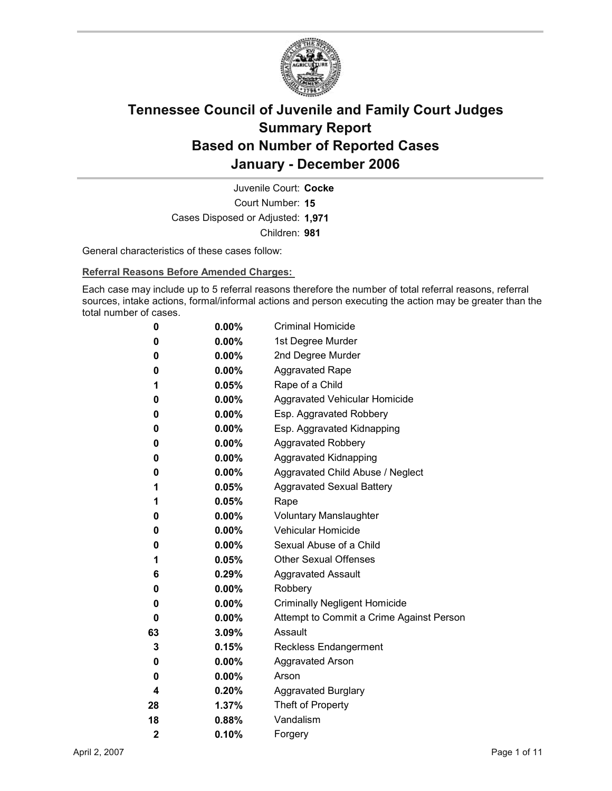

Court Number: **15** Juvenile Court: **Cocke** Cases Disposed or Adjusted: **1,971** Children: **981**

General characteristics of these cases follow:

**Referral Reasons Before Amended Charges:** 

Each case may include up to 5 referral reasons therefore the number of total referral reasons, referral sources, intake actions, formal/informal actions and person executing the action may be greater than the total number of cases.

| 0                       | $0.00\%$ | <b>Criminal Homicide</b>                 |
|-------------------------|----------|------------------------------------------|
| 0                       | $0.00\%$ | 1st Degree Murder                        |
| 0                       | $0.00\%$ | 2nd Degree Murder                        |
| 0                       | $0.00\%$ | <b>Aggravated Rape</b>                   |
| 1                       | $0.05\%$ | Rape of a Child                          |
| 0                       | $0.00\%$ | Aggravated Vehicular Homicide            |
| 0                       | $0.00\%$ | Esp. Aggravated Robbery                  |
| 0                       | $0.00\%$ | Esp. Aggravated Kidnapping               |
| 0                       | $0.00\%$ | <b>Aggravated Robbery</b>                |
| 0                       | $0.00\%$ | <b>Aggravated Kidnapping</b>             |
| 0                       | $0.00\%$ | Aggravated Child Abuse / Neglect         |
| 1                       | $0.05\%$ | <b>Aggravated Sexual Battery</b>         |
| 1                       | $0.05\%$ | Rape                                     |
| 0                       | $0.00\%$ | <b>Voluntary Manslaughter</b>            |
| 0                       | $0.00\%$ | <b>Vehicular Homicide</b>                |
| 0                       | $0.00\%$ | Sexual Abuse of a Child                  |
| 1                       | $0.05\%$ | <b>Other Sexual Offenses</b>             |
| 6                       | $0.29\%$ | <b>Aggravated Assault</b>                |
| 0                       | $0.00\%$ | Robbery                                  |
| 0                       | $0.00\%$ | <b>Criminally Negligent Homicide</b>     |
| 0                       | $0.00\%$ | Attempt to Commit a Crime Against Person |
| 63                      | $3.09\%$ | Assault                                  |
| 3                       | 0.15%    | <b>Reckless Endangerment</b>             |
| 0                       | $0.00\%$ | <b>Aggravated Arson</b>                  |
| 0                       | $0.00\%$ | Arson                                    |
| 4                       | $0.20\%$ | <b>Aggravated Burglary</b>               |
| 28                      | 1.37%    | Theft of Property                        |
| 18                      | $0.88\%$ | Vandalism                                |
| $\overline{\mathbf{2}}$ | 0.10%    | Forgery                                  |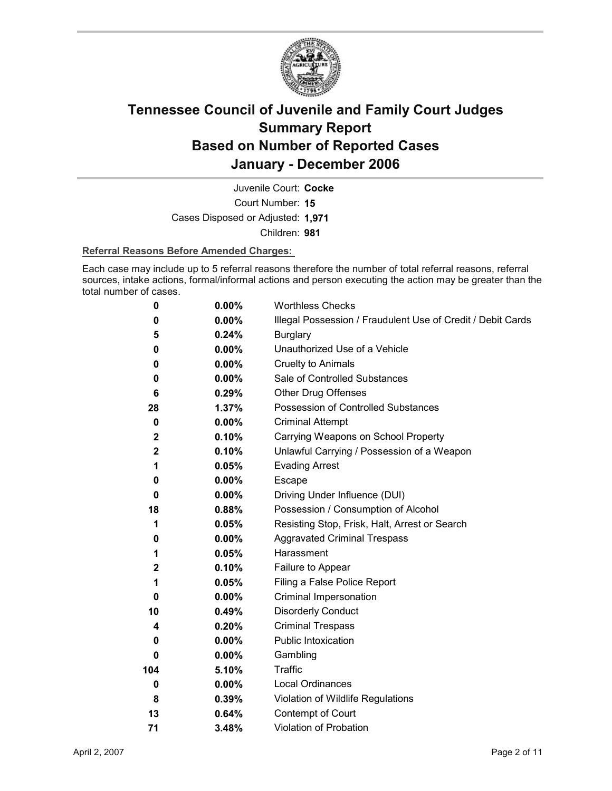

Court Number: **15** Juvenile Court: **Cocke** Cases Disposed or Adjusted: **1,971** Children: **981**

### **Referral Reasons Before Amended Charges:**

Each case may include up to 5 referral reasons therefore the number of total referral reasons, referral sources, intake actions, formal/informal actions and person executing the action may be greater than the total number of cases.

| 0            | 0.00%    | <b>Worthless Checks</b>                                     |
|--------------|----------|-------------------------------------------------------------|
| 0            | 0.00%    | Illegal Possession / Fraudulent Use of Credit / Debit Cards |
| 5            | 0.24%    | <b>Burglary</b>                                             |
| 0            | $0.00\%$ | Unauthorized Use of a Vehicle                               |
| 0            | $0.00\%$ | <b>Cruelty to Animals</b>                                   |
| 0            | $0.00\%$ | Sale of Controlled Substances                               |
| 6            | 0.29%    | <b>Other Drug Offenses</b>                                  |
| 28           | 1.37%    | Possession of Controlled Substances                         |
| 0            | $0.00\%$ | <b>Criminal Attempt</b>                                     |
| $\mathbf{2}$ | 0.10%    | Carrying Weapons on School Property                         |
| $\mathbf 2$  | 0.10%    | Unlawful Carrying / Possession of a Weapon                  |
| 1            | 0.05%    | <b>Evading Arrest</b>                                       |
| 0            | $0.00\%$ | Escape                                                      |
| $\bf{0}$     | $0.00\%$ | Driving Under Influence (DUI)                               |
| 18           | 0.88%    | Possession / Consumption of Alcohol                         |
| 1            | 0.05%    | Resisting Stop, Frisk, Halt, Arrest or Search               |
| 0            | $0.00\%$ | <b>Aggravated Criminal Trespass</b>                         |
| 1            | 0.05%    | Harassment                                                  |
| $\mathbf{2}$ | 0.10%    | Failure to Appear                                           |
| 1            | 0.05%    | Filing a False Police Report                                |
| 0            | $0.00\%$ | Criminal Impersonation                                      |
| 10           | 0.49%    | <b>Disorderly Conduct</b>                                   |
| 4            | 0.20%    | <b>Criminal Trespass</b>                                    |
| 0            | $0.00\%$ | Public Intoxication                                         |
| 0            | $0.00\%$ | Gambling                                                    |
| 104          | 5.10%    | <b>Traffic</b>                                              |
| 0            | $0.00\%$ | <b>Local Ordinances</b>                                     |
| 8            | 0.39%    | Violation of Wildlife Regulations                           |
| 13           | 0.64%    | Contempt of Court                                           |
| 71           | 3.48%    | <b>Violation of Probation</b>                               |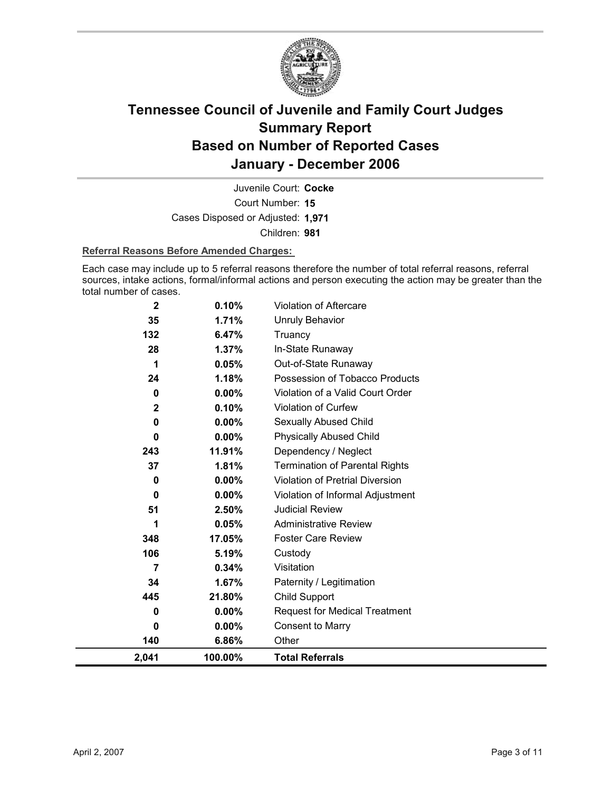

Court Number: **15** Juvenile Court: **Cocke** Cases Disposed or Adjusted: **1,971** Children: **981**

### **Referral Reasons Before Amended Charges:**

Each case may include up to 5 referral reasons therefore the number of total referral reasons, referral sources, intake actions, formal/informal actions and person executing the action may be greater than the total number of cases.

| $\mathbf 2$ | 0.10%    | Violation of Aftercare                |
|-------------|----------|---------------------------------------|
| 35          | 1.71%    | <b>Unruly Behavior</b>                |
| 132         | 6.47%    | Truancy                               |
| 28          | 1.37%    | In-State Runaway                      |
| 1           | 0.05%    | Out-of-State Runaway                  |
| 24          | 1.18%    | Possession of Tobacco Products        |
| $\bf{0}$    | $0.00\%$ | Violation of a Valid Court Order      |
| $\mathbf 2$ | 0.10%    | Violation of Curfew                   |
| $\bf{0}$    | 0.00%    | Sexually Abused Child                 |
| $\bf{0}$    | $0.00\%$ | <b>Physically Abused Child</b>        |
| 243         | 11.91%   | Dependency / Neglect                  |
| 37          | 1.81%    | <b>Termination of Parental Rights</b> |
| $\bf{0}$    | 0.00%    | Violation of Pretrial Diversion       |
| $\bf{0}$    | 0.00%    | Violation of Informal Adjustment      |
| 51          | 2.50%    | <b>Judicial Review</b>                |
| 1           | 0.05%    | <b>Administrative Review</b>          |
| 348         | 17.05%   | <b>Foster Care Review</b>             |
| 106         | 5.19%    | Custody                               |
| 7           | 0.34%    | Visitation                            |
| 34          | 1.67%    | Paternity / Legitimation              |
| 445         | 21.80%   | Child Support                         |
| 0           | $0.00\%$ | <b>Request for Medical Treatment</b>  |
| $\Omega$    | $0.00\%$ | <b>Consent to Marry</b>               |
| 140         | 6.86%    | Other                                 |
| 2,041       | 100.00%  | <b>Total Referrals</b>                |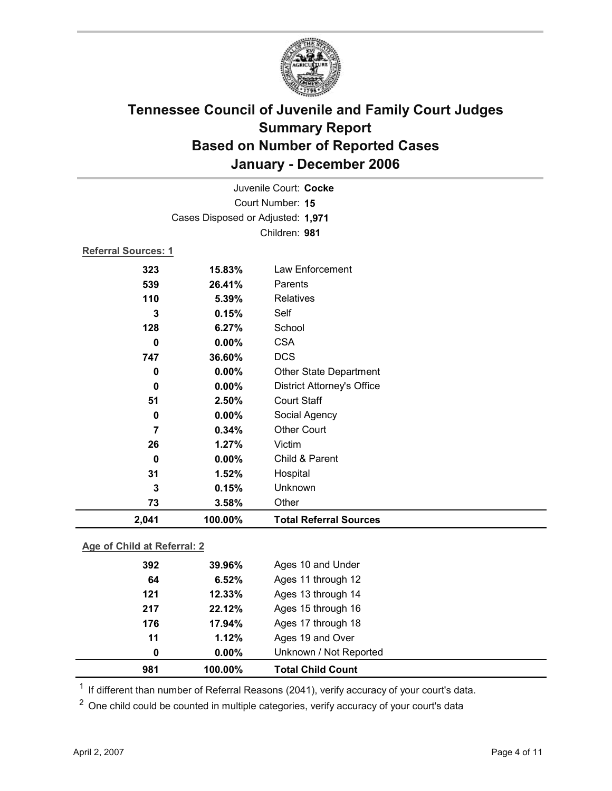

|                            |                                   | Juvenile Court: Cocke             |  |  |  |
|----------------------------|-----------------------------------|-----------------------------------|--|--|--|
| Court Number: 15           |                                   |                                   |  |  |  |
|                            | Cases Disposed or Adjusted: 1,971 |                                   |  |  |  |
|                            | Children: 981                     |                                   |  |  |  |
| <b>Referral Sources: 1</b> |                                   |                                   |  |  |  |
| 323                        | 15.83%                            | Law Enforcement                   |  |  |  |
| 539                        | 26.41%                            | Parents                           |  |  |  |
| 110                        | 5.39%                             | <b>Relatives</b>                  |  |  |  |
| 3                          | 0.15%                             | Self                              |  |  |  |
| 128                        | 6.27%                             | School                            |  |  |  |
| $\bf{0}$                   | $0.00\%$                          | <b>CSA</b>                        |  |  |  |
| 747                        | 36.60%                            | <b>DCS</b>                        |  |  |  |
| 0                          | 0.00%                             | <b>Other State Department</b>     |  |  |  |
| $\bf{0}$                   | 0.00%                             | <b>District Attorney's Office</b> |  |  |  |
| 51                         | 2.50%                             | <b>Court Staff</b>                |  |  |  |
| 0                          | 0.00%                             | Social Agency                     |  |  |  |
| 7                          | 0.34%                             | <b>Other Court</b>                |  |  |  |
| 26                         | 1.27%                             | Victim                            |  |  |  |
| $\mathbf 0$                | 0.00%                             | Child & Parent                    |  |  |  |
| 31                         | 1.52%                             | Hospital                          |  |  |  |
| 3                          | 0.15%                             | Unknown                           |  |  |  |
| 73                         | 3.58%                             | Other                             |  |  |  |
| 2,041                      | 100.00%                           | <b>Total Referral Sources</b>     |  |  |  |
|                            |                                   |                                   |  |  |  |

### **Age of Child at Referral: 2**

| 981 | 100.00%  | <b>Total Child Count</b> |  |
|-----|----------|--------------------------|--|
| 0   | $0.00\%$ | Unknown / Not Reported   |  |
| 11  | 1.12%    | Ages 19 and Over         |  |
| 176 | 17.94%   | Ages 17 through 18       |  |
| 217 | 22.12%   | Ages 15 through 16       |  |
| 121 | 12.33%   | Ages 13 through 14       |  |
| 64  | 6.52%    | Ages 11 through 12       |  |
| 392 | 39.96%   | Ages 10 and Under        |  |
|     |          |                          |  |

 $1$  If different than number of Referral Reasons (2041), verify accuracy of your court's data.

<sup>2</sup> One child could be counted in multiple categories, verify accuracy of your court's data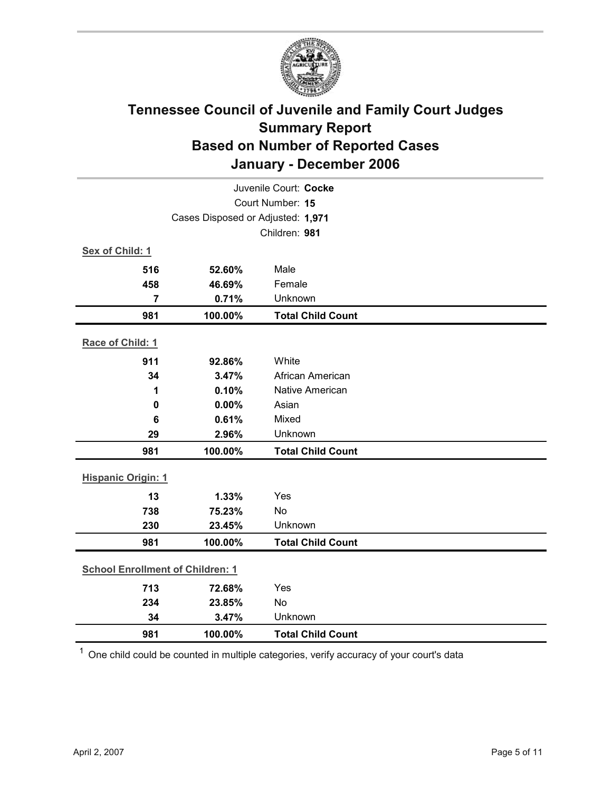

|                                         | Juvenile Court: Cocke |                          |  |  |
|-----------------------------------------|-----------------------|--------------------------|--|--|
| Court Number: 15                        |                       |                          |  |  |
| Cases Disposed or Adjusted: 1,971       |                       |                          |  |  |
|                                         |                       | Children: 981            |  |  |
| Sex of Child: 1                         |                       |                          |  |  |
| 516                                     | 52.60%                | Male                     |  |  |
| 458                                     | 46.69%                | Female                   |  |  |
| $\overline{7}$                          | 0.71%                 | Unknown                  |  |  |
| 981                                     | 100.00%               | <b>Total Child Count</b> |  |  |
| Race of Child: 1                        |                       |                          |  |  |
| 911                                     | 92.86%                | White                    |  |  |
| 34                                      | 3.47%                 | African American         |  |  |
| 1                                       | 0.10%                 | Native American          |  |  |
| 0                                       | 0.00%                 | Asian                    |  |  |
| 6                                       | 0.61%                 | Mixed                    |  |  |
| 29                                      | 2.96%                 | Unknown                  |  |  |
| 981                                     | 100.00%               | <b>Total Child Count</b> |  |  |
| <b>Hispanic Origin: 1</b>               |                       |                          |  |  |
| 13                                      | 1.33%                 | Yes                      |  |  |
| 738                                     | 75.23%                | <b>No</b>                |  |  |
| 230                                     | 23.45%                | Unknown                  |  |  |
| 981                                     | 100.00%               | <b>Total Child Count</b> |  |  |
| <b>School Enrollment of Children: 1</b> |                       |                          |  |  |
| 713                                     | 72.68%                | Yes                      |  |  |
| 234                                     | 23.85%                | No                       |  |  |
| 34                                      | 3.47%                 | Unknown                  |  |  |
| 981                                     | 100.00%               | <b>Total Child Count</b> |  |  |

 $1$  One child could be counted in multiple categories, verify accuracy of your court's data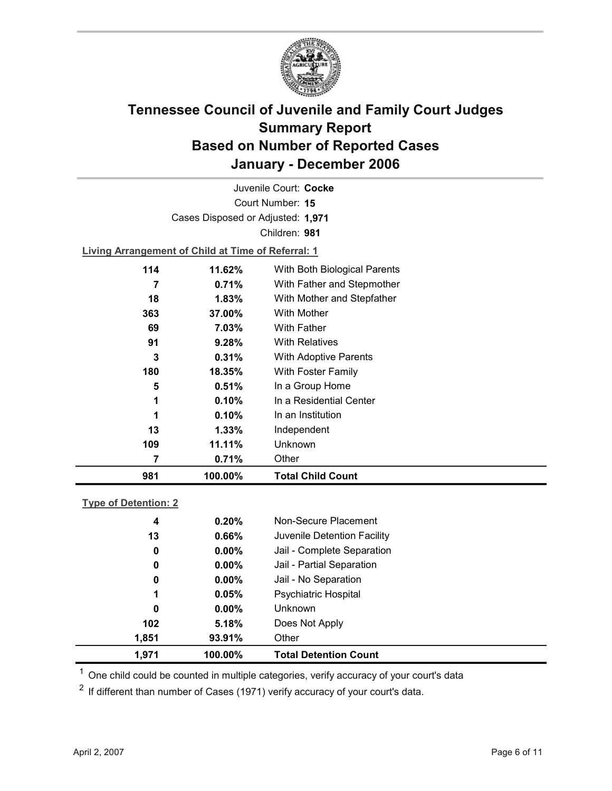

Court Number: **15** Juvenile Court: **Cocke** Cases Disposed or Adjusted: **1,971** Children: **981**

**Living Arrangement of Child at Time of Referral: 1**

| 981 | 100.00% | <b>Total Child Count</b>     |
|-----|---------|------------------------------|
|     | 0.71%   | Other                        |
| 109 | 11.11%  | Unknown                      |
| 13  | 1.33%   | Independent                  |
| 1   | 0.10%   | In an Institution            |
| 1   | 0.10%   | In a Residential Center      |
| 5   | 0.51%   | In a Group Home              |
| 180 | 18.35%  | With Foster Family           |
| 3   | 0.31%   | <b>With Adoptive Parents</b> |
| 91  | 9.28%   | <b>With Relatives</b>        |
| 69  | 7.03%   | <b>With Father</b>           |
| 363 | 37.00%  | With Mother                  |
| 18  | 1.83%   | With Mother and Stepfather   |
| 7   | 0.71%   | With Father and Stepmother   |
| 114 | 11.62%  | With Both Biological Parents |
|     |         |                              |

### **Type of Detention: 2**

| 1.971 | 100.00%  | <b>Total Detention Count</b> |
|-------|----------|------------------------------|
| 1,851 | 93.91%   | Other                        |
| 102   | 5.18%    | Does Not Apply               |
| 0     | $0.00\%$ | <b>Unknown</b>               |
| 1     | 0.05%    | <b>Psychiatric Hospital</b>  |
| 0     | $0.00\%$ | Jail - No Separation         |
| 0     | $0.00\%$ | Jail - Partial Separation    |
| 0     | $0.00\%$ | Jail - Complete Separation   |
| 13    | 0.66%    | Juvenile Detention Facility  |
| 4     | 0.20%    | Non-Secure Placement         |
|       |          |                              |

 $<sup>1</sup>$  One child could be counted in multiple categories, verify accuracy of your court's data</sup>

 $2$  If different than number of Cases (1971) verify accuracy of your court's data.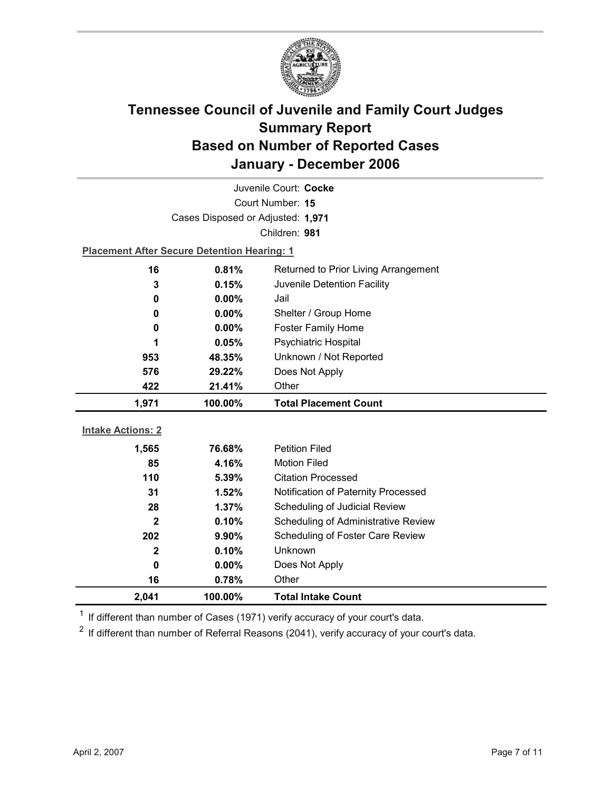

| Juvenile Court: Cocke    |                                                    |                                      |  |  |
|--------------------------|----------------------------------------------------|--------------------------------------|--|--|
| Court Number: 15         |                                                    |                                      |  |  |
|                          | Cases Disposed or Adjusted: 1,971                  |                                      |  |  |
|                          |                                                    | Children: 981                        |  |  |
|                          | <b>Placement After Secure Detention Hearing: 1</b> |                                      |  |  |
| 16                       | 0.81%                                              | Returned to Prior Living Arrangement |  |  |
| 3                        | 0.15%                                              | Juvenile Detention Facility          |  |  |
| 0                        | 0.00%                                              | Jail                                 |  |  |
| 0                        | $0.00\%$                                           | Shelter / Group Home                 |  |  |
| $\bf{0}$                 | 0.00%                                              | <b>Foster Family Home</b>            |  |  |
| 1                        | 0.05%                                              | Psychiatric Hospital                 |  |  |
| 953                      | 48.35%                                             | Unknown / Not Reported               |  |  |
| 576                      | 29.22%                                             | Does Not Apply                       |  |  |
| 422                      | 21.41%                                             | Other                                |  |  |
|                          |                                                    |                                      |  |  |
| 1,971                    | 100.00%                                            | <b>Total Placement Count</b>         |  |  |
|                          |                                                    |                                      |  |  |
| <b>Intake Actions: 2</b> |                                                    |                                      |  |  |
| 1,565                    | 76.68%                                             | <b>Petition Filed</b>                |  |  |
| 85                       | 4.16%                                              | <b>Motion Filed</b>                  |  |  |
| 110                      | 5.39%                                              | <b>Citation Processed</b>            |  |  |
| 31                       | 1.52%                                              | Notification of Paternity Processed  |  |  |
| 28                       | 1.37%                                              | Scheduling of Judicial Review        |  |  |
| $\mathbf{2}$             | 0.10%                                              | Scheduling of Administrative Review  |  |  |
| 202                      | 9.90%                                              | Scheduling of Foster Care Review     |  |  |
| $\mathbf{2}$             | 0.10%                                              | Unknown                              |  |  |
| $\mathbf 0$              | $0.00\%$                                           | Does Not Apply                       |  |  |
| 16<br>2,041              | 0.78%<br>100.00%                                   | Other<br><b>Total Intake Count</b>   |  |  |

 $1$  If different than number of Cases (1971) verify accuracy of your court's data.

 $2$  If different than number of Referral Reasons (2041), verify accuracy of your court's data.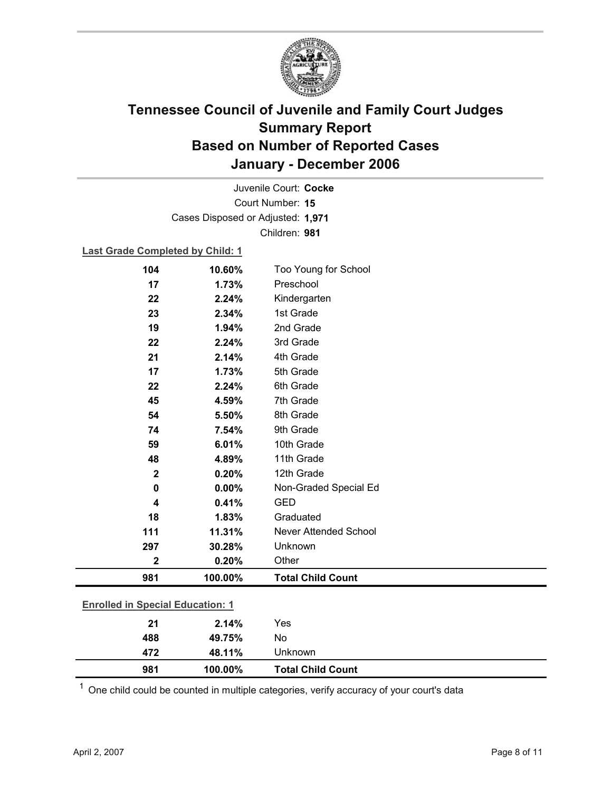

Court Number: **15** Juvenile Court: **Cocke** Cases Disposed or Adjusted: **1,971** Children: **981**

### **Last Grade Completed by Child: 1**

| 104                                     | 10.60%  | Too Young for School         |
|-----------------------------------------|---------|------------------------------|
| 17                                      | 1.73%   | Preschool                    |
| 22                                      | 2.24%   | Kindergarten                 |
| 23                                      | 2.34%   | 1st Grade                    |
| 19                                      | 1.94%   | 2nd Grade                    |
| 22                                      | 2.24%   | 3rd Grade                    |
| 21                                      | 2.14%   | 4th Grade                    |
| 17                                      | 1.73%   | 5th Grade                    |
| 22                                      | 2.24%   | 6th Grade                    |
| 45                                      | 4.59%   | 7th Grade                    |
| 54                                      | 5.50%   | 8th Grade                    |
| 74                                      | 7.54%   | 9th Grade                    |
| 59                                      | 6.01%   | 10th Grade                   |
| 48                                      | 4.89%   | 11th Grade                   |
| $\boldsymbol{2}$                        | 0.20%   | 12th Grade                   |
| $\mathbf 0$                             | 0.00%   | Non-Graded Special Ed        |
| 4                                       | 0.41%   | <b>GED</b>                   |
| 18                                      | 1.83%   | Graduated                    |
| 111                                     | 11.31%  | <b>Never Attended School</b> |
| 297                                     | 30.28%  | Unknown                      |
| $\mathbf 2$                             | 0.20%   | Other                        |
| 981                                     | 100.00% | <b>Total Child Count</b>     |
|                                         |         |                              |
| <b>Enrolled in Special Education: 1</b> |         |                              |
| 21                                      | 2.14%   | Yes                          |
| 488                                     | 49.75%  | No                           |

 $1$  One child could be counted in multiple categories, verify accuracy of your court's data

**472 48.11%** Unknown

**981 100.00% Total Child Count**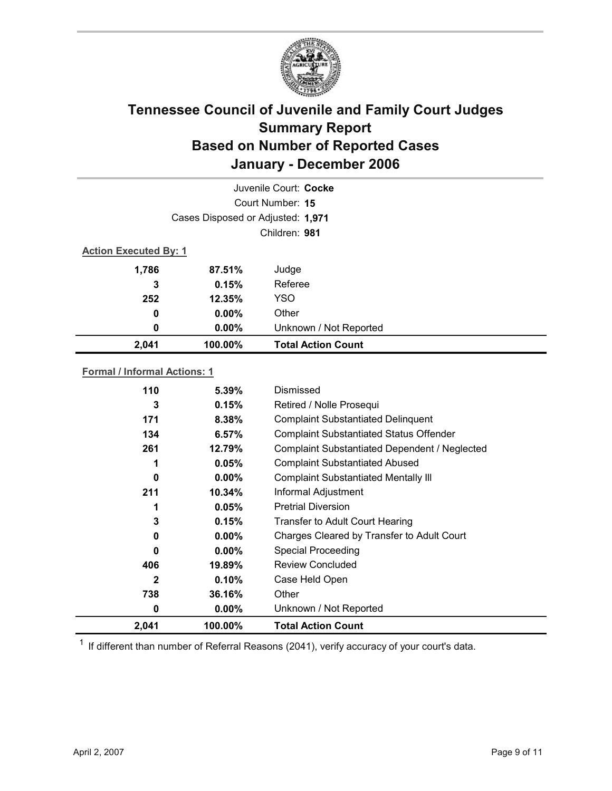

|                              | Juvenile Court: Cocke             |                           |  |  |
|------------------------------|-----------------------------------|---------------------------|--|--|
| Court Number: 15             |                                   |                           |  |  |
|                              | Cases Disposed or Adjusted: 1,971 |                           |  |  |
|                              | Children: 981                     |                           |  |  |
| <b>Action Executed By: 1</b> |                                   |                           |  |  |
| 1,786                        | 87.51%                            | Judge                     |  |  |
| 3                            | 0.15%                             | Referee                   |  |  |
| 252                          | 12.35%                            | <b>YSO</b>                |  |  |
| 0                            | $0.00\%$                          | Other                     |  |  |
| 0                            | $0.00\%$                          | Unknown / Not Reported    |  |  |
| 2,041                        | 100.00%                           | <b>Total Action Count</b> |  |  |

### **Formal / Informal Actions: 1**

| 2,041        | 100.00%   | <b>Total Action Count</b>                      |  |
|--------------|-----------|------------------------------------------------|--|
| 0            | $0.00\%$  | Unknown / Not Reported                         |  |
| 738          | 36.16%    | Other                                          |  |
| $\mathbf{2}$ | 0.10%     | Case Held Open                                 |  |
| 406          | $19.89\%$ | Review Concluded                               |  |
| 0            | $0.00\%$  | <b>Special Proceeding</b>                      |  |
| 0            | $0.00\%$  | Charges Cleared by Transfer to Adult Court     |  |
| 3            | 0.15%     | <b>Transfer to Adult Court Hearing</b>         |  |
|              | 0.05%     | <b>Pretrial Diversion</b>                      |  |
| 211          | 10.34%    | Informal Adjustment                            |  |
| 0            | $0.00\%$  | <b>Complaint Substantiated Mentally III</b>    |  |
|              | 0.05%     | <b>Complaint Substantiated Abused</b>          |  |
| 261          | 12.79%    | Complaint Substantiated Dependent / Neglected  |  |
| 134          | 6.57%     | <b>Complaint Substantiated Status Offender</b> |  |
| 171          | 8.38%     | <b>Complaint Substantiated Delinquent</b>      |  |
| 3            | 0.15%     | Retired / Nolle Prosequi                       |  |
| 110          | $5.39\%$  | Dismissed                                      |  |
|              |           |                                                |  |

 $1$  If different than number of Referral Reasons (2041), verify accuracy of your court's data.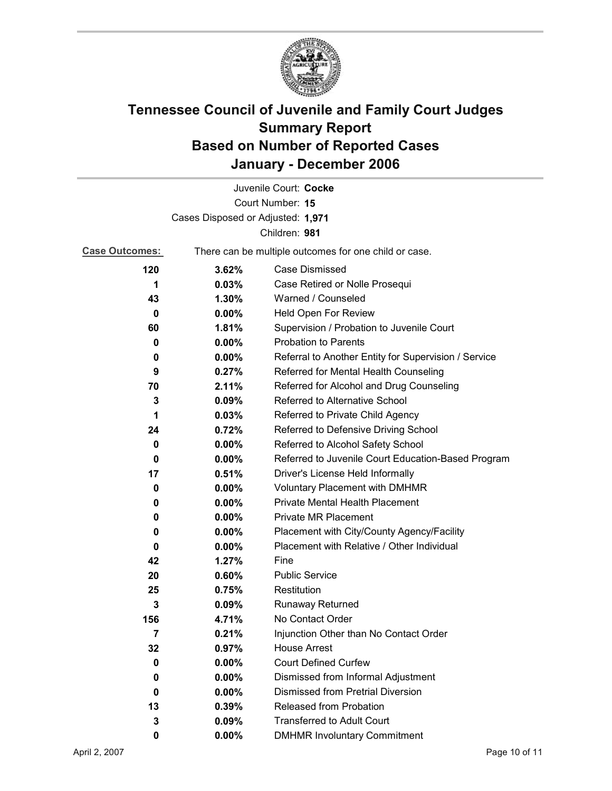

|                                   |                                                       | Juvenile Court: Cocke                                |
|-----------------------------------|-------------------------------------------------------|------------------------------------------------------|
|                                   |                                                       | Court Number: 15                                     |
| Cases Disposed or Adjusted: 1,971 |                                                       |                                                      |
|                                   |                                                       | Children: 981                                        |
| <b>Case Outcomes:</b>             | There can be multiple outcomes for one child or case. |                                                      |
| 120                               | 3.62%                                                 | <b>Case Dismissed</b>                                |
| 1                                 | 0.03%                                                 | Case Retired or Nolle Prosequi                       |
| 43                                | 1.30%                                                 | Warned / Counseled                                   |
| 0                                 | $0.00\%$                                              | Held Open For Review                                 |
| 60                                | 1.81%                                                 | Supervision / Probation to Juvenile Court            |
| 0                                 | 0.00%                                                 | <b>Probation to Parents</b>                          |
| 0                                 | $0.00\%$                                              | Referral to Another Entity for Supervision / Service |
| 9                                 | 0.27%                                                 | Referred for Mental Health Counseling                |
| 70                                | 2.11%                                                 | Referred for Alcohol and Drug Counseling             |
| 3                                 | $0.09\%$                                              | Referred to Alternative School                       |
| 1                                 | 0.03%                                                 | Referred to Private Child Agency                     |
| 24                                | 0.72%                                                 | Referred to Defensive Driving School                 |
| 0                                 | $0.00\%$                                              | Referred to Alcohol Safety School                    |
| 0                                 | $0.00\%$                                              | Referred to Juvenile Court Education-Based Program   |
| 17                                | 0.51%                                                 | Driver's License Held Informally                     |
| 0                                 | $0.00\%$                                              | <b>Voluntary Placement with DMHMR</b>                |
| 0                                 | $0.00\%$                                              | <b>Private Mental Health Placement</b>               |
| 0                                 | $0.00\%$                                              | <b>Private MR Placement</b>                          |
| 0                                 | $0.00\%$                                              | Placement with City/County Agency/Facility           |
| 0                                 | $0.00\%$                                              | Placement with Relative / Other Individual           |
| 42                                | 1.27%                                                 | Fine                                                 |
| 20                                | 0.60%                                                 | <b>Public Service</b>                                |
| 25                                | 0.75%                                                 | Restitution                                          |
| 3                                 | 0.09%                                                 | <b>Runaway Returned</b>                              |
| 156                               | 4.71%                                                 | No Contact Order                                     |
| 7                                 | 0.21%                                                 | Injunction Other than No Contact Order               |
| 32                                | 0.97%                                                 | <b>House Arrest</b>                                  |
| 0                                 | $0.00\%$                                              | <b>Court Defined Curfew</b>                          |
| 0                                 | $0.00\%$                                              | Dismissed from Informal Adjustment                   |
| 0                                 | $0.00\%$                                              | <b>Dismissed from Pretrial Diversion</b>             |
| 13                                | 0.39%                                                 | <b>Released from Probation</b>                       |
| 3                                 | 0.09%                                                 | <b>Transferred to Adult Court</b>                    |
| 0                                 | $0.00\%$                                              | <b>DMHMR Involuntary Commitment</b>                  |